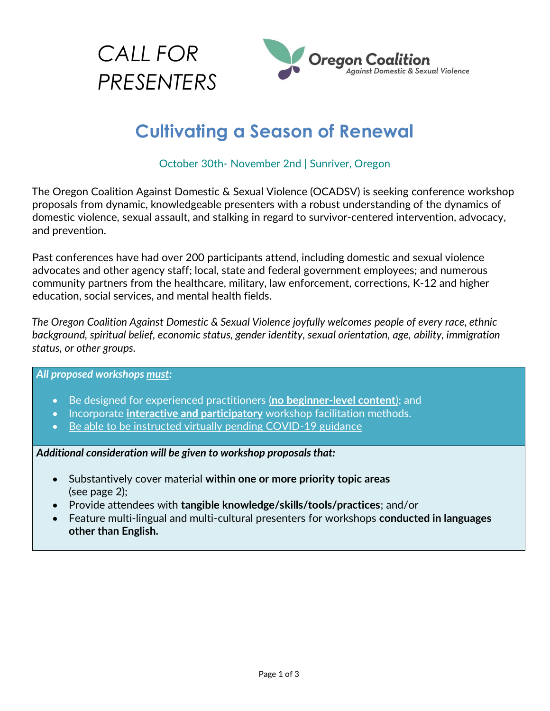



# **Cultivating a Season of Renewal**

October 30th- November 2nd | Sunriver, Oregon

The Oregon Coalition Against Domestic & Sexual Violence (OCADSV) is seeking conference workshop proposals from dynamic, knowledgeable presenters with a robust understanding of the dynamics of domestic violence, sexual assault, and stalking in regard to survivor-centered intervention, advocacy, and prevention.

Past conferences have had over 200 participants attend, including domestic and sexual violence advocates and other agency staff; local, state and federal government employees; and numerous community partners from the healthcare, military, law enforcement, corrections, K-12 and higher education, social services, and mental health fields.

*The Oregon Coalition Against Domestic & Sexual Violence joyfully welcomes people of every race, ethnic background, spiritual belief, economic status, gender identity, sexual orientation, age, ability, immigration status, or other groups.* 

#### *All proposed workshops must:*

- Be designed for experienced practitioners (**no beginner-level content**); and
- Incorporate **interactive and participatory** workshop facilitation methods.
- Be able to be instructed virtually pending COVID-19 guidance

*Additional consideration will be given to workshop proposals that:* 

- Substantively cover material **within one or more priority topic areas** (see page 2);
- Provide attendees with **tangible knowledge/skills/tools/practices**; and/or
- Feature multi-lingual and multi-cultural presenters for workshops **conducted in languages other than English.**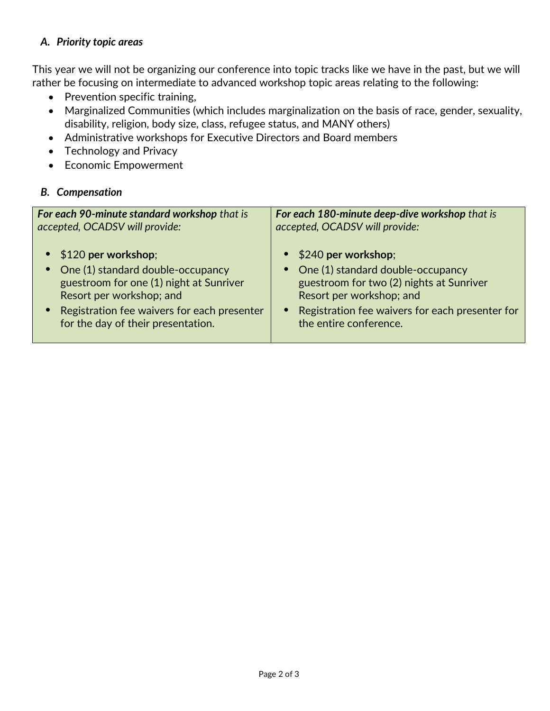### *A. Priority topic areas*

This year we will not be organizing our conference into topic tracks like we have in the past, but we will rather be focusing on intermediate to advanced workshop topic areas relating to the following:

- Prevention specific training,
- Marginalized Communities (which includes marginalization on the basis of race, gender, sexuality, disability, religion, body size, class, refugee status, and MANY others)
- Administrative workshops for Executive Directors and Board members
- Technology and Privacy
- Economic Empowerment

#### *B. Compensation*

| For each 90-minute standard workshop that is  | For each 180-minute deep-dive workshop that is  |
|-----------------------------------------------|-------------------------------------------------|
| accepted, OCADSV will provide:                | accepted, OCADSV will provide:                  |
| $\bullet$ \$120 per workshop;                 | $$240$ per workshop;                            |
| • One (1) standard double-occupancy           | One (1) standard double-occupancy               |
| guestroom for one (1) night at Sunriver       | guestroom for two (2) nights at Sunriver        |
| Resort per workshop; and                      | Resort per workshop; and                        |
| • Registration fee waivers for each presenter | Registration fee waivers for each presenter for |
| for the day of their presentation.            | the entire conference.                          |